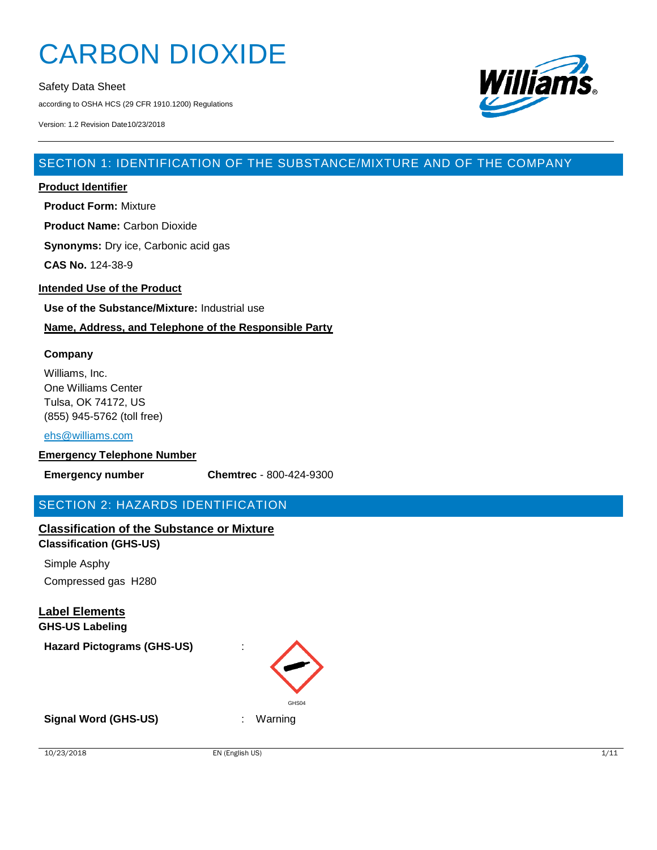Safety Data Sheet

according to OSHA HCS (29 CFR 1910.1200) Regulations

Version: 1.2 Revision Date10/23/2018



# SECTION 1: IDENTIFICATION OF THE SUBSTANCE/MIXTURE AND OF THE COMPANY

#### **Product Identifier**

**Product Form:** Mixture

**Product Name:** Carbon Dioxide

**Synonyms:** Dry ice, Carbonic acid gas

**CAS No.** 124-38-9

#### **Intended Use of the Product**

**Use of the Substance/Mixture:** Industrial use

#### **Name, Address, and Telephone of the Responsible Party**

#### **Company**

Williams, Inc. One Williams Center Tulsa, OK 74172, US (855) 945-5762 (toll free)

#### [ehs@williams.com](mailto:ehs@williams.com)

#### **Emergency Telephone Number**

**Emergency number Chemtrec** - 800-424-9300

# SECTION 2: HAZARDS IDENTIFICATION

# **Classification of the Substance or Mixture**

**Classification (GHS-US)** Simple Asphy Compressed gas H280

| <b>Label Elements</b>  |
|------------------------|
| <b>GHS-US Labeling</b> |

#### **Hazard Pictograms (GHS-US)** :



**Signal Word (GHS-US)** : Warning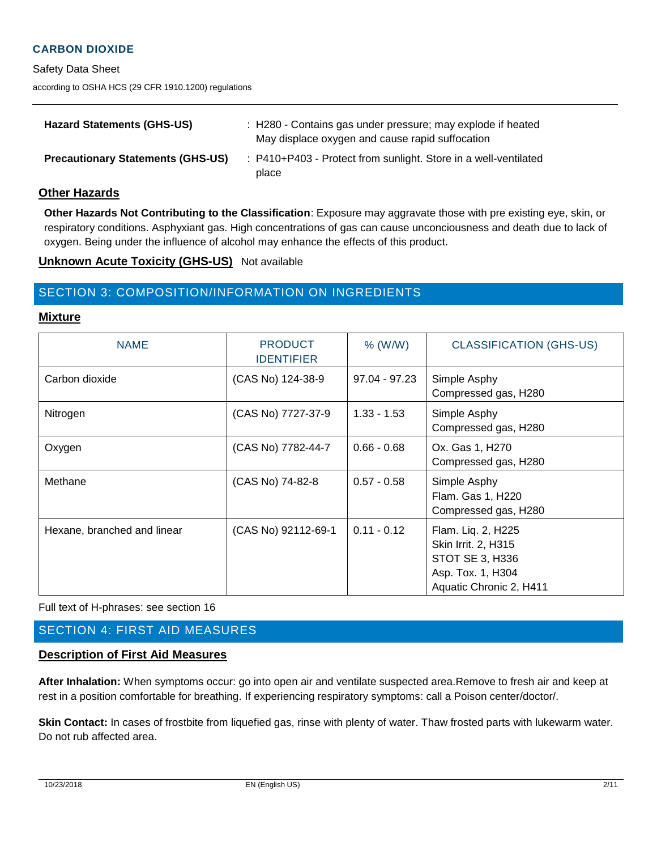#### Safety Data Sheet

according to OSHA HCS (29 CFR 1910.1200) regulations

| <b>Hazard Statements (GHS-US)</b>        | : H280 - Contains gas under pressure; may explode if heated<br>May displace oxygen and cause rapid suffocation |
|------------------------------------------|----------------------------------------------------------------------------------------------------------------|
| <b>Precautionary Statements (GHS-US)</b> | : P410+P403 - Protect from sunlight. Store in a well-ventilated<br>place                                       |

#### **Other Hazards**

**Other Hazards Not Contributing to the Classification**: Exposure may aggravate those with pre existing eye, skin, or respiratory conditions. Asphyxiant gas. High concentrations of gas can cause unconciousness and death due to lack of oxygen. Being under the influence of alcohol may enhance the effects of this product.

#### **Unknown Acute Toxicity (GHS-US)** Not available

# SECTION 3: COMPOSITION/INFORMATION ON INGREDIENTS

#### **Mixture**

| <b>NAME</b>                 | <b>PRODUCT</b><br><b>IDENTIFIER</b> | $%$ (W/W)     | <b>CLASSIFICATION (GHS-US)</b>                                                                               |
|-----------------------------|-------------------------------------|---------------|--------------------------------------------------------------------------------------------------------------|
| Carbon dioxide              | (CAS No) 124-38-9                   | 97.04 - 97.23 | Simple Asphy<br>Compressed gas, H280                                                                         |
| Nitrogen                    | (CAS No) 7727-37-9                  | $1.33 - 1.53$ | Simple Asphy<br>Compressed gas, H280                                                                         |
| Oxygen                      | (CAS No) 7782-44-7                  | $0.66 - 0.68$ | Ox. Gas 1, H270<br>Compressed gas, H280                                                                      |
| Methane                     | (CAS No) 74-82-8                    | $0.57 - 0.58$ | Simple Asphy<br>Flam. Gas 1, H220<br>Compressed gas, H280                                                    |
| Hexane, branched and linear | (CAS No) 92112-69-1                 | $0.11 - 0.12$ | Flam. Liq. 2, H225<br>Skin Irrit. 2, H315<br>STOT SE 3, H336<br>Asp. Tox. 1, H304<br>Aquatic Chronic 2, H411 |

Full text of H-phrases: see section 16

# SECTION 4: FIRST AID MEASURES

#### **Description of First Aid Measures**

**After Inhalation:** When symptoms occur: go into open air and ventilate suspected area.Remove to fresh air and keep at rest in a position comfortable for breathing. If experiencing respiratory symptoms: call a Poison center/doctor/.

**Skin Contact:** In cases of frostbite from liquefied gas, rinse with plenty of water. Thaw frosted parts with lukewarm water. Do not rub affected area.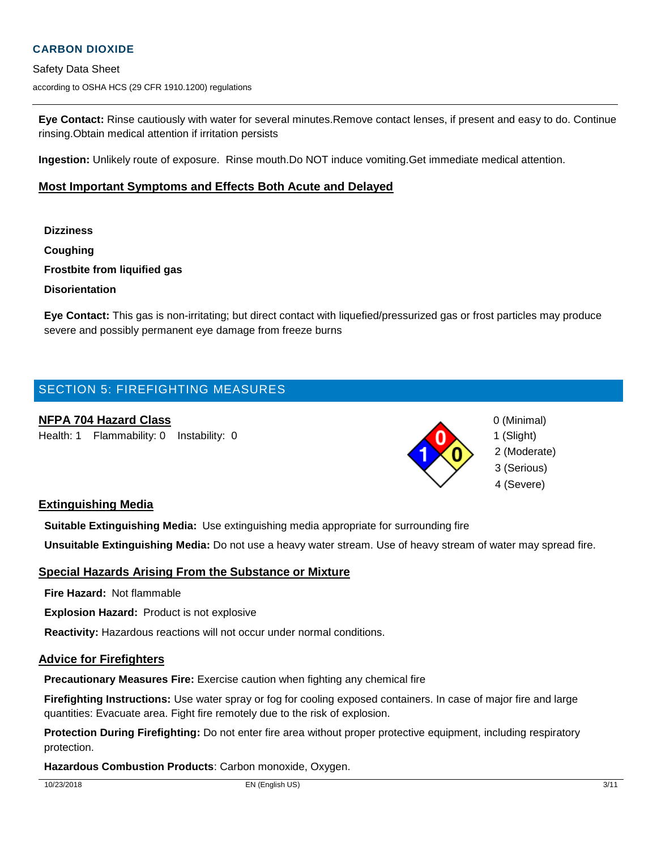Safety Data Sheet

according to OSHA HCS (29 CFR 1910.1200) regulations

**Eye Contact:** Rinse cautiously with water for several minutes.Remove contact lenses, if present and easy to do. Continue rinsing.Obtain medical attention if irritation persists

**Ingestion:** Unlikely route of exposure. Rinse mouth.Do NOT induce vomiting.Get immediate medical attention.

#### **Most Important Symptoms and Effects Both Acute and Delayed**

**Dizziness**

**Coughing**

**Frostbite from liquified gas**

**Disorientation**

**Eye Contact:** This gas is non-irritating; but direct contact with liquefied/pressurized gas or frost particles may produce severe and possibly permanent eye damage from freeze burns

# SECTION 5: FIREFIGHTING MEASURES

#### **NFPA 704 Hazard Class** 0 (Minimal)

Health: 1 Flammability: 0 Instability: 0 1 (Slight) 1 (Slight) 1 (Slight)



- 
- 2 (Moderate)
- 3 (Serious)
- 4 (Severe)

#### **Extinguishing Media**

**Suitable Extinguishing Media:** Use extinguishing media appropriate for surrounding fire

**Unsuitable Extinguishing Media:** Do not use a heavy water stream. Use of heavy stream of water may spread fire.

#### **Special Hazards Arising From the Substance or Mixture**

**Fire Hazard:** Not flammable

**Explosion Hazard:** Product is not explosive

**Reactivity:** Hazardous reactions will not occur under normal conditions.

#### **Advice for Firefighters**

**Precautionary Measures Fire:** Exercise caution when fighting any chemical fire

**Firefighting Instructions:** Use water spray or fog for cooling exposed containers. In case of major fire and large quantities: Evacuate area. Fight fire remotely due to the risk of explosion.

**Protection During Firefighting:** Do not enter fire area without proper protective equipment, including respiratory protection.

**Hazardous Combustion Products**: Carbon monoxide, Oxygen.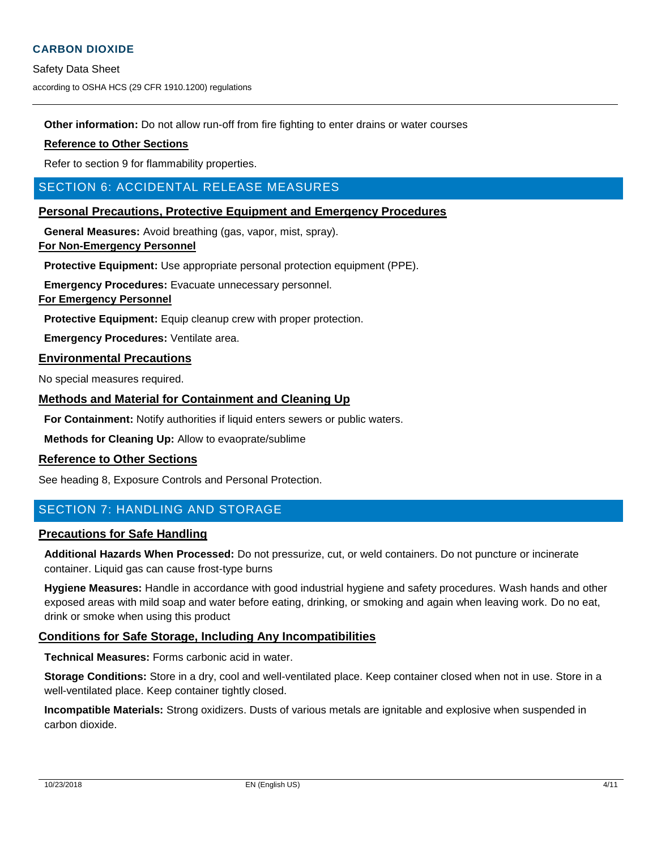Safety Data Sheet

according to OSHA HCS (29 CFR 1910.1200) regulations

**Other information:** Do not allow run-off from fire fighting to enter drains or water courses

#### **Reference to Other Sections**

Refer to section 9 for flammability properties.

# SECTION 6: ACCIDENTAL RELEASE MEASURES

#### **Personal Precautions, Protective Equipment and Emergency Procedures**

**General Measures:** Avoid breathing (gas, vapor, mist, spray). **For Non-Emergency Personnel**

**Protective Equipment:** Use appropriate personal protection equipment (PPE).

**Emergency Procedures:** Evacuate unnecessary personnel.

#### **For Emergency Personnel**

**Protective Equipment:** Equip cleanup crew with proper protection.

**Emergency Procedures:** Ventilate area.

#### **Environmental Precautions**

No special measures required.

#### **Methods and Material for Containment and Cleaning Up**

**For Containment:** Notify authorities if liquid enters sewers or public waters.

**Methods for Cleaning Up:** Allow to evaoprate/sublime

#### **Reference to Other Sections**

See heading 8, Exposure Controls and Personal Protection.

# SECTION 7: HANDLING AND STORAGE

#### **Precautions for Safe Handling**

**Additional Hazards When Processed:** Do not pressurize, cut, or weld containers. Do not puncture or incinerate container. Liquid gas can cause frost-type burns

**Hygiene Measures:** Handle in accordance with good industrial hygiene and safety procedures. Wash hands and other exposed areas with mild soap and water before eating, drinking, or smoking and again when leaving work. Do no eat, drink or smoke when using this product

#### **Conditions for Safe Storage, Including Any Incompatibilities**

**Technical Measures:** Forms carbonic acid in water.

**Storage Conditions:** Store in a dry, cool and well-ventilated place. Keep container closed when not in use. Store in a well-ventilated place. Keep container tightly closed.

**Incompatible Materials:** Strong oxidizers. Dusts of various metals are ignitable and explosive when suspended in carbon dioxide.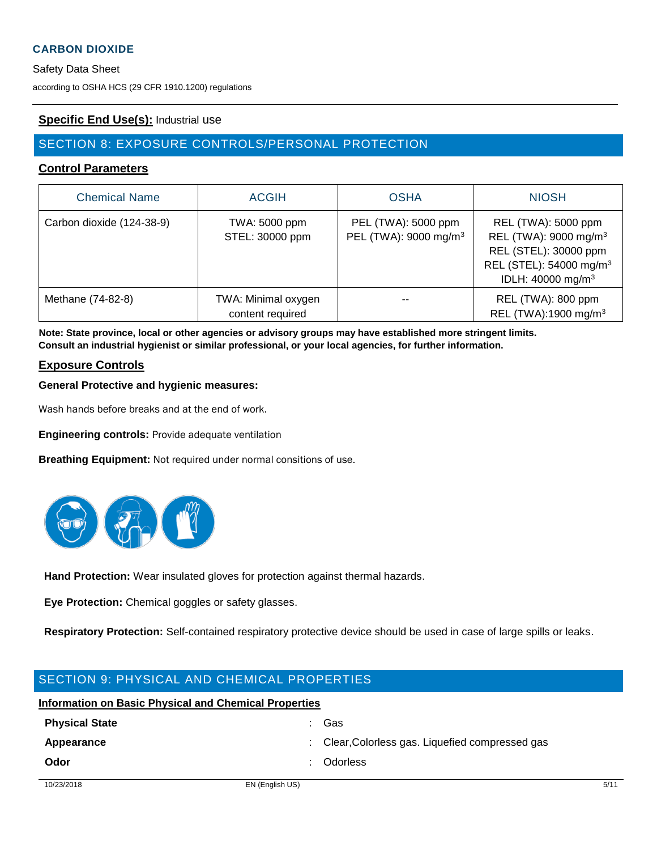#### Safety Data Sheet

according to OSHA HCS (29 CFR 1910.1200) regulations

#### **Specific End Use(s):** Industrial use

# SECTION 8: EXPOSURE CONTROLS/PERSONAL PROTECTION

#### **Control Parameters**

| <b>Chemical Name</b>      | <b>ACGIH</b>                            | <b>OSHA</b>                                              | <b>NIOSH</b>                                                                                                                                              |
|---------------------------|-----------------------------------------|----------------------------------------------------------|-----------------------------------------------------------------------------------------------------------------------------------------------------------|
| Carbon dioxide (124-38-9) | TWA: 5000 ppm<br>STEL: 30000 ppm        | PEL (TWA): 5000 ppm<br>PEL (TWA): 9000 mg/m <sup>3</sup> | REL (TWA): 5000 ppm<br>REL (TWA): 9000 mg/m <sup>3</sup><br>REL (STEL): 30000 ppm<br>REL (STEL): 54000 mg/m <sup>3</sup><br>IDLH: 40000 mg/m <sup>3</sup> |
| Methane (74-82-8)         | TWA: Minimal oxygen<br>content required |                                                          | REL (TWA): 800 ppm<br>REL (TWA):1900 mg/m <sup>3</sup>                                                                                                    |

**Note: State province, local or other agencies or advisory groups may have established more stringent limits. Consult an industrial hygienist or similar professional, or your local agencies, for further information.**

#### **Exposure Controls**

#### **General Protective and hygienic measures:**

Wash hands before breaks and at the end of work.

**Engineering controls:** Provide adequate ventilation

**Breathing Equipment:** Not required under normal consitions of use.



**Hand Protection:** Wear insulated gloves for protection against thermal hazards.

**Eye Protection:** Chemical goggles or safety glasses.

**Respiratory Protection:** Self-contained respiratory protective device should be used in case of large spills or leaks.

# SECTION 9: PHYSICAL AND CHEMICAL PROPERTIES

#### **Information on Basic Physical and Chemical Properties**

| <b>Physical State</b> | Gas                                              |
|-----------------------|--------------------------------------------------|
| Appearance            | : Clear, Colorless gas. Liquefied compressed gas |
| Odor                  | Odorless                                         |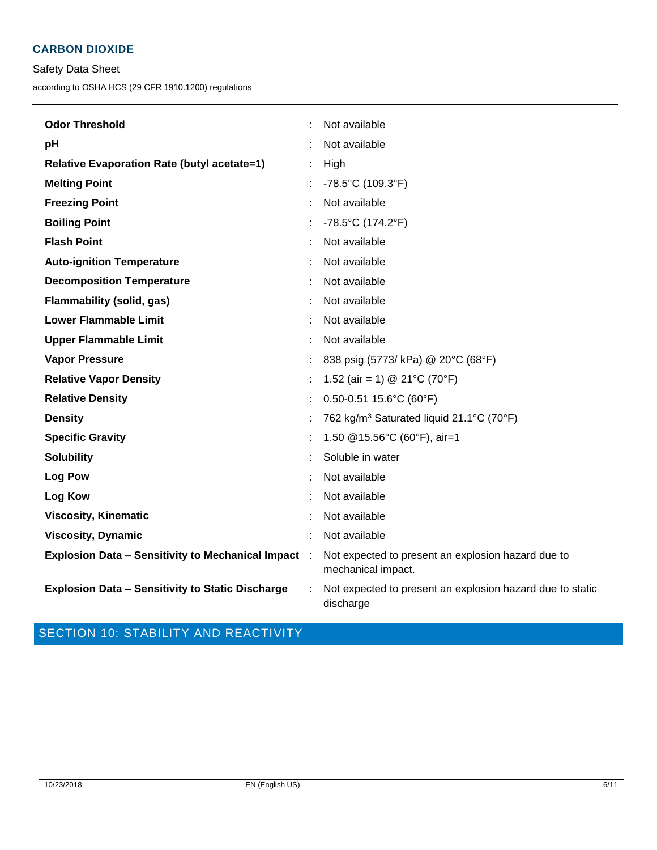#### Safety Data Sheet

according to OSHA HCS (29 CFR 1910.1200) regulations

| <b>Odor Threshold</b>                                    |           | Not available                                                            |
|----------------------------------------------------------|-----------|--------------------------------------------------------------------------|
| pH                                                       |           | Not available                                                            |
| <b>Relative Evaporation Rate (butyl acetate=1)</b>       |           | High                                                                     |
| <b>Melting Point</b>                                     |           | $-78.5^{\circ}$ C (109.3 $^{\circ}$ F)                                   |
| <b>Freezing Point</b>                                    |           | Not available                                                            |
| <b>Boiling Point</b>                                     |           | -78.5°C (174.2°F)                                                        |
| <b>Flash Point</b>                                       |           | Not available                                                            |
| <b>Auto-ignition Temperature</b>                         |           | Not available                                                            |
| <b>Decomposition Temperature</b>                         |           | Not available                                                            |
| <b>Flammability (solid, gas)</b>                         |           | Not available                                                            |
| <b>Lower Flammable Limit</b>                             |           | Not available                                                            |
| <b>Upper Flammable Limit</b>                             |           | Not available                                                            |
| <b>Vapor Pressure</b>                                    |           | 838 psig (5773/ kPa) @ 20°C (68°F)                                       |
| <b>Relative Vapor Density</b>                            |           | 1.52 (air = 1) @ 21°C (70°F)                                             |
| <b>Relative Density</b>                                  |           | $0.50 - 0.51$ 15.6°C (60°F)                                              |
| <b>Density</b>                                           |           | 762 kg/m <sup>3</sup> Saturated liquid 21.1°C (70°F)                     |
| <b>Specific Gravity</b>                                  |           | 1.50 @15.56°C (60°F), air=1                                              |
| <b>Solubility</b>                                        |           | Soluble in water                                                         |
| <b>Log Pow</b>                                           |           | Not available                                                            |
| Log Kow                                                  |           | Not available                                                            |
| <b>Viscosity, Kinematic</b>                              |           | Not available                                                            |
| <b>Viscosity, Dynamic</b>                                |           | Not available                                                            |
| <b>Explosion Data - Sensitivity to Mechanical Impact</b> | $\cdot$ : | Not expected to present an explosion hazard due to<br>mechanical impact. |
| Explosion Data - Sensitivity to Static Discharge         |           | Not expected to present an explosion hazard due to static<br>discharge   |

# SECTION 10: STABILITY AND REACTIVITY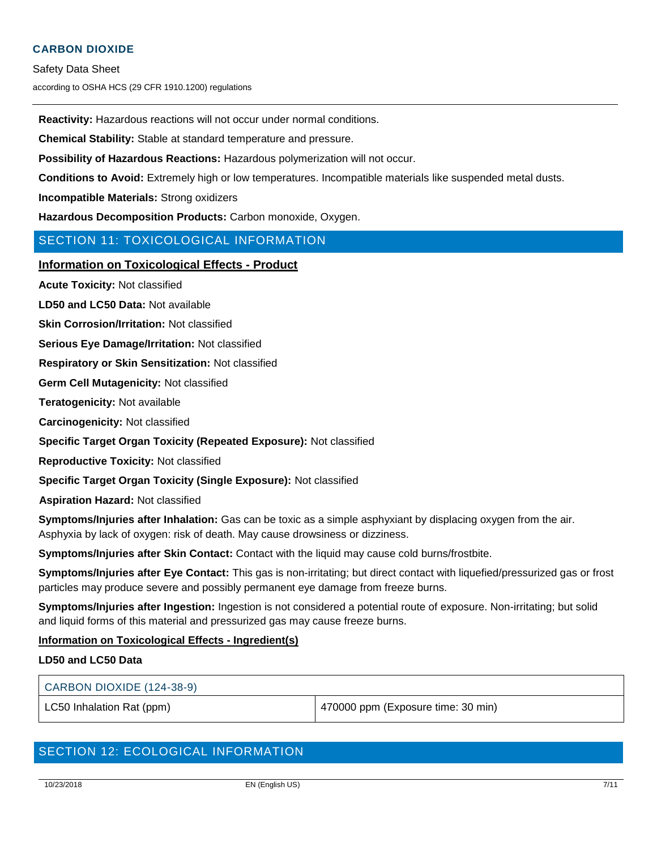#### Safety Data Sheet

according to OSHA HCS (29 CFR 1910.1200) regulations

**Reactivity:** Hazardous reactions will not occur under normal conditions.

**Chemical Stability:** Stable at standard temperature and pressure.

**Possibility of Hazardous Reactions:** Hazardous polymerization will not occur.

**Conditions to Avoid:** Extremely high or low temperatures. Incompatible materials like suspended metal dusts.

**Incompatible Materials:** Strong oxidizers

**Hazardous Decomposition Products:** Carbon monoxide, Oxygen.

#### SECTION 11: TOXICOLOGICAL INFORMATION

#### **Information on Toxicological Effects - Product**

**Acute Toxicity:** Not classified

**LD50 and LC50 Data:** Not available

**Skin Corrosion/Irritation:** Not classified

**Serious Eye Damage/Irritation:** Not classified

**Respiratory or Skin Sensitization:** Not classified

**Germ Cell Mutagenicity:** Not classified

**Teratogenicity:** Not available

**Carcinogenicity:** Not classified

**Specific Target Organ Toxicity (Repeated Exposure):** Not classified

**Reproductive Toxicity:** Not classified

**Specific Target Organ Toxicity (Single Exposure):** Not classified

**Aspiration Hazard:** Not classified

**Symptoms/Injuries after Inhalation:** Gas can be toxic as a simple asphyxiant by displacing oxygen from the air. Asphyxia by lack of oxygen: risk of death. May cause drowsiness or dizziness.

**Symptoms/Injuries after Skin Contact:** Contact with the liquid may cause cold burns/frostbite.

**Symptoms/Injuries after Eye Contact:** This gas is non-irritating; but direct contact with liquefied/pressurized gas or frost particles may produce severe and possibly permanent eye damage from freeze burns.

**Symptoms/Injuries after Ingestion:** Ingestion is not considered a potential route of exposure. Non-irritating; but solid and liquid forms of this material and pressurized gas may cause freeze burns.

#### **Information on Toxicological Effects - Ingredient(s)**

#### **LD50 and LC50 Data**

CARBON DIOXIDE (124-38-9)

LC50 Inhalation Rat (ppm)  $\vert$  470000 ppm (Exposure time: 30 min)

# SECTION 12: ECOLOGICAL INFORMATION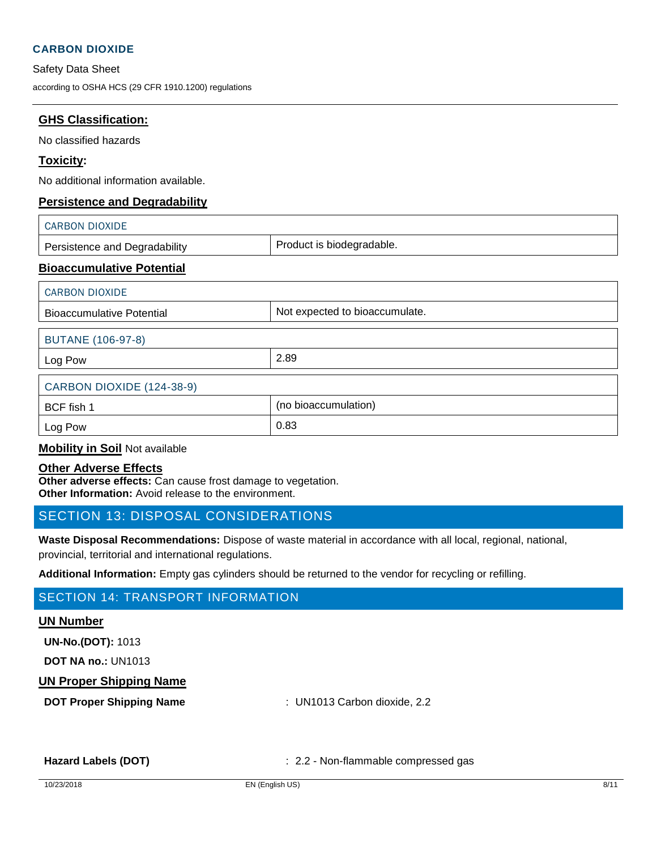#### Safety Data Sheet

according to OSHA HCS (29 CFR 1910.1200) regulations

#### **GHS Classification:**

No classified hazards

#### **Toxicity:**

No additional information available.

#### **Persistence and Degradability**

| <b>CARBON DIOXIDE</b>            |                                |  |
|----------------------------------|--------------------------------|--|
| Persistence and Degradability    | Product is biodegradable.      |  |
| <b>Bioaccumulative Potential</b> |                                |  |
| <b>CARBON DIOXIDE</b>            |                                |  |
| <b>Bioaccumulative Potential</b> | Not expected to bioaccumulate. |  |
| <b>BUTANE (106-97-8)</b>         |                                |  |
| Log Pow                          | 2.89                           |  |
| CARBON DIOXIDE (124-38-9)        |                                |  |
| BCF fish 1                       | (no bioaccumulation)           |  |
| Log Pow                          | 0.83                           |  |

#### **Mobility in Soil** Not available

#### **Other Adverse Effects**

**Other adverse effects:** Can cause frost damage to vegetation. **Other Information:** Avoid release to the environment.

# SECTION 13: DISPOSAL CONSIDERATIONS

**Waste Disposal Recommendations:** Dispose of waste material in accordance with all local, regional, national, provincial, territorial and international regulations.

**Additional Information:** Empty gas cylinders should be returned to the vendor for recycling or refilling.

# SECTION 14: TRANSPORT INFORMATION

#### **UN Number**

**UN-No.(DOT):** 1013

**DOT NA no.:** UN1013

#### **UN Proper Shipping Name**

**DOT Proper Shipping Name** : UN1013 Carbon dioxide, 2.2

**Hazard Labels (DOT)**  $\qquad \qquad$  : 2.2 - Non-flammable compressed gas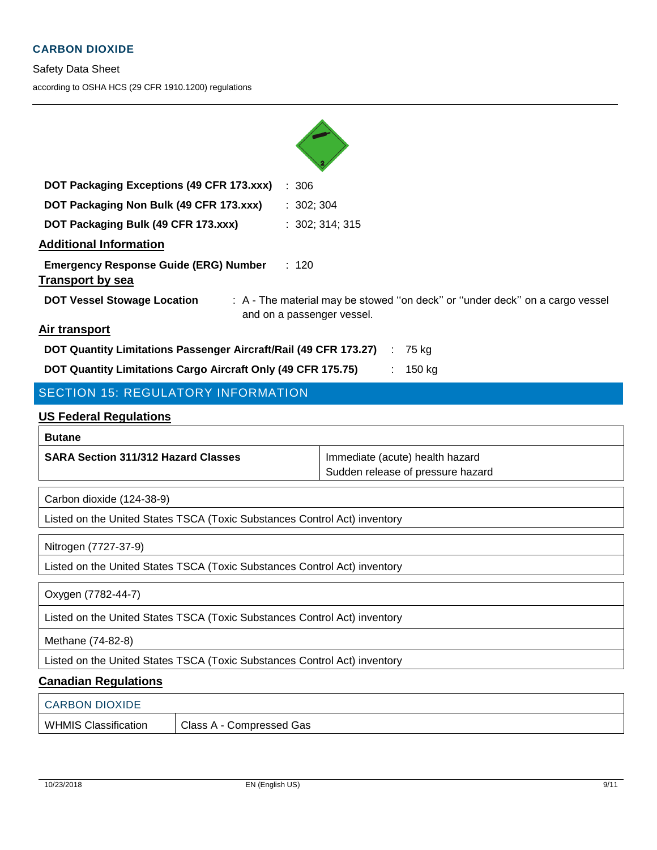Safety Data Sheet

according to OSHA HCS (29 CFR 1910.1200) regulations

| DOT Packaging Exceptions (49 CFR 173.xxx)                               | : 306                                                                                                      |
|-------------------------------------------------------------------------|------------------------------------------------------------------------------------------------------------|
| DOT Packaging Non Bulk (49 CFR 173.xxx)                                 | : 302, 304                                                                                                 |
| DOT Packaging Bulk (49 CFR 173.xxx)                                     | : 302; 314; 315                                                                                            |
| <b>Additional Information</b>                                           |                                                                                                            |
| <b>Emergency Response Guide (ERG) Number</b><br><b>Transport by sea</b> | : 120                                                                                                      |
| <b>DOT Vessel Stowage Location</b>                                      | : A - The material may be stowed "on deck" or "under deck" on a cargo vessel<br>and on a passenger vessel. |
| Air transport                                                           |                                                                                                            |
| DOT Quantity Limitations Passenger Aircraft/Rail (49 CFR 173.27)        | 75 ka<br>- 11                                                                                              |

# SECTION 15: REGULATORY INFORMATION

#### **US Federal Regulations**

| utar |
|------|
|------|

**SARA Section 311/312 Hazard Classes** Immediate (acute) health hazard

Sudden release of pressure hazard

Carbon dioxide (124-38-9)

Listed on the United States TSCA (Toxic Substances Control Act) inventory

**DOT Quantity Limitations Cargo Aircraft Only (49 CFR 175.75)** : 150 kg

Nitrogen (7727-37-9)

Listed on the United States TSCA (Toxic Substances Control Act) inventory

Oxygen (7782-44-7)

Listed on the United States TSCA (Toxic Substances Control Act) inventory

Methane (74-82-8)

Listed on the United States TSCA (Toxic Substances Control Act) inventory

#### **Canadian Regulations**

| <b>CARBON DIOXIDE</b> |                          |
|-----------------------|--------------------------|
| WHMIS Classification  | Class A - Compressed Gas |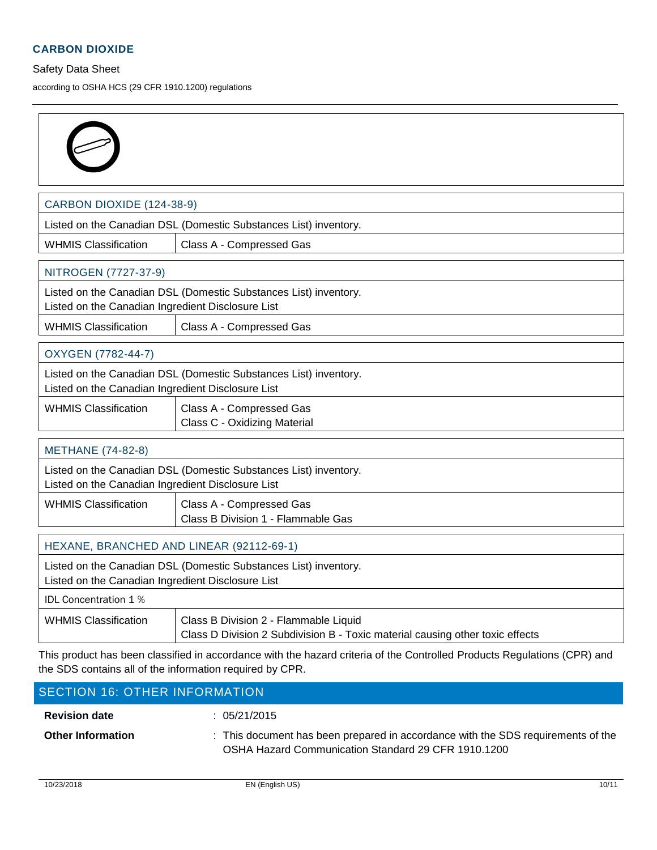#### Safety Data Sheet

according to OSHA HCS (29 CFR 1910.1200) regulations

| CARBON DIOXIDE (124-38-9)                                                                                             |                                                                                                                          |  |
|-----------------------------------------------------------------------------------------------------------------------|--------------------------------------------------------------------------------------------------------------------------|--|
|                                                                                                                       | Listed on the Canadian DSL (Domestic Substances List) inventory.                                                         |  |
| <b>WHMIS Classification</b>                                                                                           | Class A - Compressed Gas                                                                                                 |  |
| NITROGEN (7727-37-9)                                                                                                  |                                                                                                                          |  |
| Listed on the Canadian Ingredient Disclosure List                                                                     | Listed on the Canadian DSL (Domestic Substances List) inventory.                                                         |  |
| <b>WHMIS Classification</b>                                                                                           | Class A - Compressed Gas                                                                                                 |  |
| OXYGEN (7782-44-7)                                                                                                    |                                                                                                                          |  |
| Listed on the Canadian Ingredient Disclosure List                                                                     | Listed on the Canadian DSL (Domestic Substances List) inventory.                                                         |  |
| <b>WHMIS Classification</b>                                                                                           | Class A - Compressed Gas<br>Class C - Oxidizing Material                                                                 |  |
| <b>METHANE</b> (74-82-8)                                                                                              |                                                                                                                          |  |
| Listed on the Canadian DSL (Domestic Substances List) inventory.<br>Listed on the Canadian Ingredient Disclosure List |                                                                                                                          |  |
| <b>WHMIS Classification</b>                                                                                           | Class A - Compressed Gas<br>Class B Division 1 - Flammable Gas                                                           |  |
| HEXANE, BRANCHED AND LINEAR (92112-69-1)                                                                              |                                                                                                                          |  |
| Listed on the Canadian DSL (Domestic Substances List) inventory.<br>Listed on the Canadian Ingredient Disclosure List |                                                                                                                          |  |
| IDL Concentration 1%                                                                                                  |                                                                                                                          |  |
| <b>WHMIS Classification</b>                                                                                           | Class B Division 2 - Flammable Liquid<br>Class D Division 2 Subdivision B - Toxic material causing other toxic effects   |  |
| the SDS contains all of the information required by CPR.                                                              | This product has been classified in accordance with the hazard criteria of the Controlled Products Regulations (CPR) and |  |

| <b>SECTION 16: OTHER INFORMATION</b> |                                                                                                                                         |  |  |
|--------------------------------------|-----------------------------------------------------------------------------------------------------------------------------------------|--|--|
| <b>Revision date</b>                 | : 05/21/2015                                                                                                                            |  |  |
| <b>Other Information</b>             | : This document has been prepared in accordance with the SDS requirements of the<br>OSHA Hazard Communication Standard 29 CFR 1910.1200 |  |  |